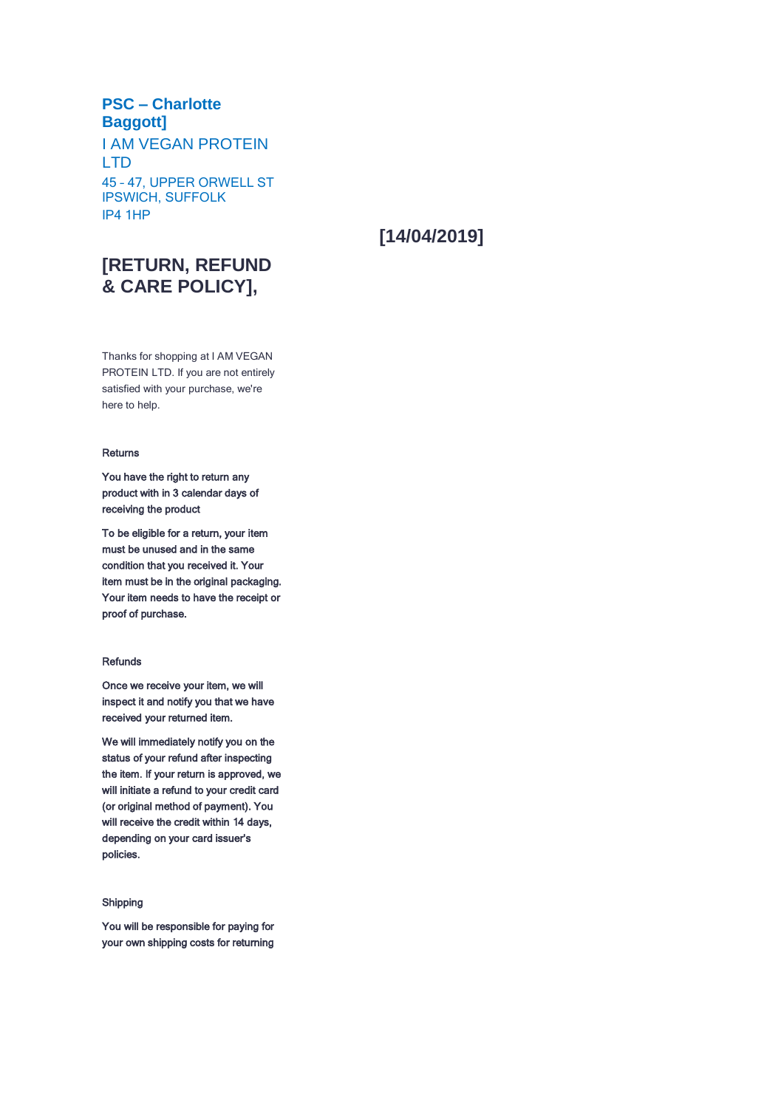### **PSC – Charlotte Baggott]**

I AM VEGAN PROTEIN LTD 45 – 47, UPPER ORWELL ST IPSWICH, SUFFOLK IP4 1HP

# **[14/04/2019]**

## **[RETURN, REFUND & CARE POLICY],**

Thanks for shopping at I AM VEGAN PROTEIN LTD. If you are not entirely satisfied with your purchase, we're here to help.

#### Returns

You have the right to return any product with in 3 calendar days of receiving the product

To be eligible for a return, your item must be unused and in the same condition that you received it. Your item must be in the original packaging. Your item needs to have the receipt or proof of purchase.

#### Refunds

Once we receive your item, we will inspect it and notify you that we have received your returned item.

We will immediately notify you on the status of your refund after inspecting the item. If your return is approved, we will initiate a refund to your credit card (or original method of payment). You will receive the credit within 14 days, depending on your card issuer's policies.

#### Shipping

You will be responsible for paying for your own shipping costs for returning